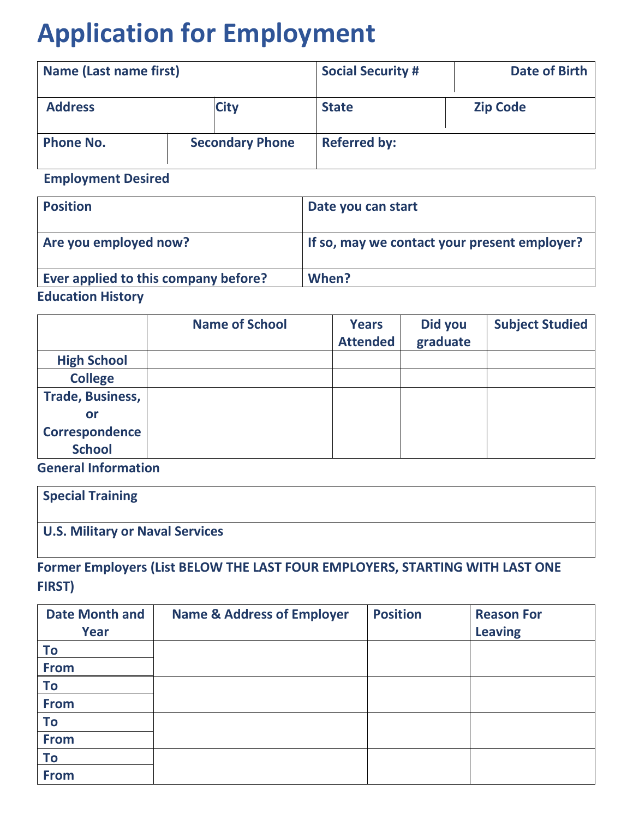# **Application for Employment**

| <b>Name (Last name first)</b> |                        | <b>Date of Birth</b><br><b>Social Security #</b> |                     |                 |
|-------------------------------|------------------------|--------------------------------------------------|---------------------|-----------------|
| <b>Address</b>                |                        | <b>City</b>                                      | <b>State</b>        | <b>Zip Code</b> |
| <b>Phone No.</b>              | <b>Secondary Phone</b> |                                                  | <b>Referred by:</b> |                 |

 **Employment Desired**

| <b>Position</b>                       | Date you can start                           |
|---------------------------------------|----------------------------------------------|
| Are you employed now?                 | If so, may we contact your present employer? |
| Ever applied to this company before?  | When?                                        |
| المستحققة فالمستحل فالمستحدث والمتالة |                                              |

## **Education History**

|                         | <b>Name of School</b> | <b>Years</b><br><b>Attended</b> | Did you<br>graduate | <b>Subject Studied</b> |
|-------------------------|-----------------------|---------------------------------|---------------------|------------------------|
| <b>High School</b>      |                       |                                 |                     |                        |
| <b>College</b>          |                       |                                 |                     |                        |
| <b>Trade, Business,</b> |                       |                                 |                     |                        |
| or                      |                       |                                 |                     |                        |
| <b>Correspondence</b>   |                       |                                 |                     |                        |
| <b>School</b>           |                       |                                 |                     |                        |

**General Information** 

| <b>Special Training</b>                |  |
|----------------------------------------|--|
| <b>U.S. Military or Naval Services</b> |  |

**Former Employers (List BELOW THE LAST FOUR EMPLOYERS, STARTING WITH LAST ONE FIRST)**

| <b>Date Month and</b> | <b>Name &amp; Address of Employer</b> | <b>Position</b> | <b>Reason For</b> |
|-----------------------|---------------------------------------|-----------------|-------------------|
| Year                  |                                       |                 | <b>Leaving</b>    |
| To                    |                                       |                 |                   |
| <b>From</b>           |                                       |                 |                   |
| To                    |                                       |                 |                   |
| <b>From</b>           |                                       |                 |                   |
| To                    |                                       |                 |                   |
| <b>From</b>           |                                       |                 |                   |
| To                    |                                       |                 |                   |
| <b>From</b>           |                                       |                 |                   |